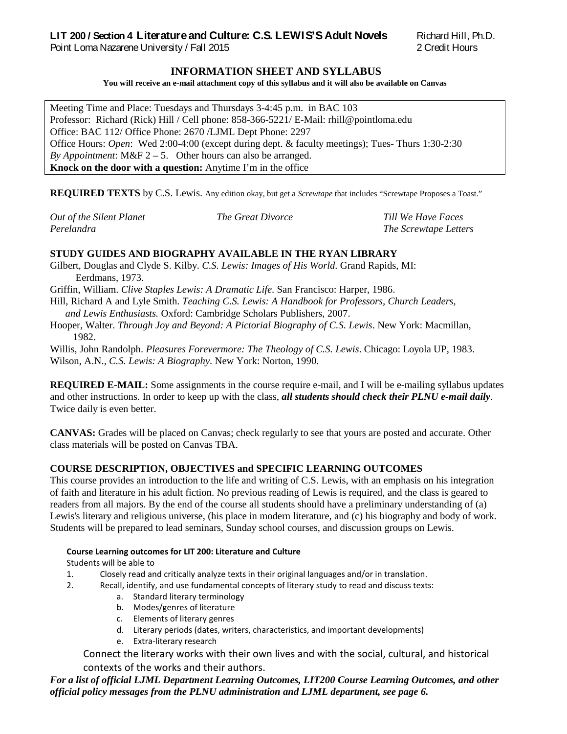# **LIT 200 / Section 4 Literature and Culture: C.S. LEWIS'S Adult Novels** Richard Hill, Ph.D.

Point Loma Nazarene University / Fall 2015 2 Credit Hours

## **INFORMATION SHEET AND SYLLABUS**

**You will receive an e-mail attachment copy of this syllabus and it will also be available on Canvas**

Meeting Time and Place: Tuesdays and Thursdays 3-4:45 p.m. in BAC 103 Professor: Richard (Rick) Hill / Cell phone: 858-366-5221/ E-Mail: rhill@pointloma.edu Office: BAC 112/ Office Phone: 2670 /LJML Dept Phone: 2297 Office Hours: *Open*: Wed 2:00-4:00 (except during dept. & faculty meetings); Tues- Thurs 1:30-2:30 *By Appointment*:  $M\&F$  2 – 5. Other hours can also be arranged. **Knock on the door with a question:** Anytime I'm in the office

**REQUIRED TEXTS** by C.S. Lewis. Any edition okay, but get a *Screwtape* that includes "Screwtape Proposes a Toast."

| Out of the Silent Planet | <i>The Great Divorce</i> | Till We Have Faces    |
|--------------------------|--------------------------|-----------------------|
| Perelandra               |                          | The Screwtape Letters |

# **STUDY GUIDES AND BIOGRAPHY AVAILABLE IN THE RYAN LIBRARY**

Gilbert, Douglas and Clyde S. Kilby. *C.S. Lewis: Images of His World*. Grand Rapids, MI: Eerdmans, 1973.

Griffin, William. *Clive Staples Lewis: A Dramatic Life*. San Francisco: Harper, 1986.

Hill, Richard A and Lyle Smith. *Teaching C.S. Lewis: A Handbook for Professors, Church Leaders, and Lewis Enthusiasts.* Oxford: Cambridge Scholars Publishers, 2007.

Hooper, Walter. *Through Joy and Beyond: A Pictorial Biography of C.S. Lewis*. New York: Macmillan, 1982.

Willis, John Randolph. *Pleasures Forevermore: The Theology of C.S. Lewis*. Chicago: Loyola UP, 1983. Wilson, A.N., *C.S. Lewis: A Biography*. New York: Norton, 1990.

**REQUIRED E-MAIL:** Some assignments in the course require e-mail, and I will be e-mailing syllabus updates and other instructions. In order to keep up with the class, *all students should check their PLNU e-mail daily*. Twice daily is even better.

**CANVAS:** Grades will be placed on Canvas; check regularly to see that yours are posted and accurate. Other class materials will be posted on Canvas TBA.

## **COURSE DESCRIPTION, OBJECTIVES and SPECIFIC LEARNING OUTCOMES**

This course provides an introduction to the life and writing of C.S. Lewis, with an emphasis on his integration of faith and literature in his adult fiction. No previous reading of Lewis is required, and the class is geared to readers from all majors. By the end of the course all students should have a preliminary understanding of (a) Lewis's literary and religious universe, (his place in modern literature, and (c) his biography and body of work. Students will be prepared to lead seminars, Sunday school courses, and discussion groups on Lewis.

#### **Course Learning outcomes for LIT 200: Literature and Culture**

## Students will be able to

- 1. Closely read and critically analyze texts in their original languages and/or in translation.
- 2. Recall, identify, and use fundamental concepts of literary study to read and discuss texts:
	- a. Standard literary terminology
	- b. Modes/genres of literature
	- c. Elements of literary genres
	- d. Literary periods (dates, writers, characteristics, and important developments)
	- e. Extra-literary research

Connect the literary works with their own lives and with the social, cultural, and historical contexts of the works and their authors.

*For a list of official LJML Department Learning Outcomes, LIT200 Course Learning Outcomes, and other official policy messages from the PLNU administration and LJML department, see page 6.*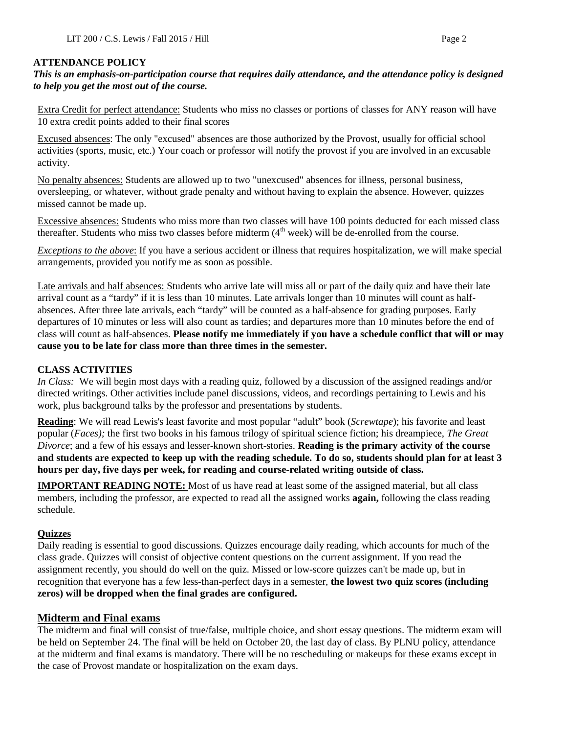#### **ATTENDANCE POLICY**

## *This is an emphasis-on-participation course that requires daily attendance, and the attendance policy is designed to help you get the most out of the course.*

Extra Credit for perfect attendance: Students who miss no classes or portions of classes for ANY reason will have 10 extra credit points added to their final scores

Excused absences: The only "excused" absences are those authorized by the Provost, usually for official school activities (sports, music, etc.) Your coach or professor will notify the provost if you are involved in an excusable activity.

No penalty absences: Students are allowed up to two "unexcused" absences for illness, personal business, oversleeping, or whatever, without grade penalty and without having to explain the absence. However, quizzes missed cannot be made up.

Excessive absences: Students who miss more than two classes will have 100 points deducted for each missed class thereafter. Students who miss two classes before midterm  $(4<sup>th</sup> week)$  will be de-enrolled from the course.

*Exceptions to the above*: If you have a serious accident or illness that requires hospitalization, we will make special arrangements, provided you notify me as soon as possible.

Late arrivals and half absences: Students who arrive late will miss all or part of the daily quiz and have their late arrival count as a "tardy" if it is less than 10 minutes. Late arrivals longer than 10 minutes will count as halfabsences. After three late arrivals, each "tardy" will be counted as a half-absence for grading purposes. Early departures of 10 minutes or less will also count as tardies; and departures more than 10 minutes before the end of class will count as half-absences. **Please notify me immediately if you have a schedule conflict that will or may cause you to be late for class more than three times in the semester.**

## **CLASS ACTIVITIES**

*In Class:* We will begin most days with a reading quiz, followed by a discussion of the assigned readings and/or directed writings. Other activities include panel discussions, videos, and recordings pertaining to Lewis and his work, plus background talks by the professor and presentations by students.

**Reading**: We will read Lewis's least favorite and most popular "adult" book (*Screwtape*); his favorite and least popular (*Faces);* the first two books in his famous trilogy of spiritual science fiction; his dreampiece, *The Great Divorce*; and a few of his essays and lesser-known short-stories. **Reading is the primary activity of the course and students are expected to keep up with the reading schedule. To do so, students should plan for at least 3 hours per day, five days per week, for reading and course-related writing outside of class.**

**IMPORTANT READING NOTE:** Most of us have read at least some of the assigned material, but all class members, including the professor, are expected to read all the assigned works **again,** following the class reading schedule.

#### **Quizzes**

Daily reading is essential to good discussions. Quizzes encourage daily reading, which accounts for much of the class grade. Quizzes will consist of objective content questions on the current assignment. If you read the assignment recently, you should do well on the quiz. Missed or low-score quizzes can't be made up, but in recognition that everyone has a few less-than-perfect days in a semester, **the lowest two quiz scores (including zeros) will be dropped when the final grades are configured.** 

## **Midterm and Final exams**

The midterm and final will consist of true/false, multiple choice, and short essay questions. The midterm exam will be held on September 24. The final will be held on October 20, the last day of class. By PLNU policy, attendance at the midterm and final exams is mandatory. There will be no rescheduling or makeups for these exams except in the case of Provost mandate or hospitalization on the exam days.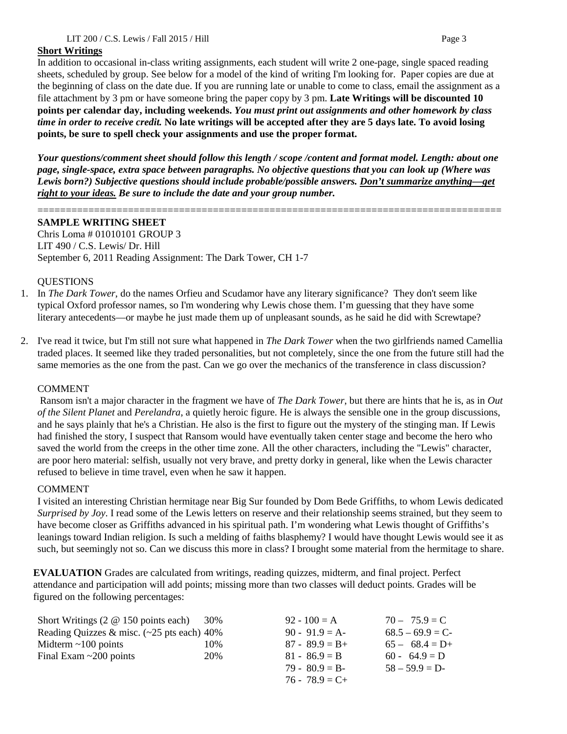## **Short Writings**

In addition to occasional in-class writing assignments, each student will write 2 one-page, single spaced reading sheets, scheduled by group. See below for a model of the kind of writing I'm looking for. Paper copies are due at the beginning of class on the date due. If you are running late or unable to come to class, email the assignment as a file attachment by 3 pm or have someone bring the paper copy by 3 pm. **Late Writings will be discounted 10 points per calendar day, including weekends.** *You must print out assignments and other homework by class time in order to receive credit.* **No late writings will be accepted after they are 5 days late. To avoid losing points, be sure to spell check your assignments and use the proper format.**

*Your questions/comment sheet should follow this length / scope /content and format model. Length: about one page, single-space, extra space between paragraphs. No objective questions that you can look up (Where was Lewis born?) Subjective questions should include probable/possible answers. Don't summarize anything—get right to your ideas. Be sure to include the date and your group number.*

==================================================================================

## **SAMPLE WRITING SHEET**

Chris Loma # 01010101 GROUP 3 LIT 490 / C.S. Lewis/ Dr. Hill September 6, 2011 Reading Assignment: The Dark Tower, CH 1-7

#### **OUESTIONS**

- 1. In *The Dark Tower*, do the names Orfieu and Scudamor have any literary significance? They don't seem like typical Oxford professor names, so I'm wondering why Lewis chose them. I'm guessing that they have some literary antecedents—or maybe he just made them up of unpleasant sounds, as he said he did with Screwtape?
- 2. I've read it twice, but I'm still not sure what happened in *The Dark Tower* when the two girlfriends named Camellia traded places. It seemed like they traded personalities, but not completely, since the one from the future still had the same memories as the one from the past. Can we go over the mechanics of the transference in class discussion?

#### COMMENT

Ransom isn't a major character in the fragment we have of *The Dark Tower*, but there are hints that he is, as in *Out of the Silent Planet* and *Perelandra*, a quietly heroic figure. He is always the sensible one in the group discussions, and he says plainly that he's a Christian. He also is the first to figure out the mystery of the stinging man. If Lewis had finished the story, I suspect that Ransom would have eventually taken center stage and become the hero who saved the world from the creeps in the other time zone. All the other characters, including the "Lewis" character, are poor hero material: selfish, usually not very brave, and pretty dorky in general, like when the Lewis character refused to believe in time travel, even when he saw it happen.

#### COMMENT

I visited an interesting Christian hermitage near Big Sur founded by Dom Bede Griffiths, to whom Lewis dedicated *Surprised by Joy*. I read some of the Lewis letters on reserve and their relationship seems strained, but they seem to have become closer as Griffiths advanced in his spiritual path. I'm wondering what Lewis thought of Griffiths's leanings toward Indian religion. Is such a melding of faiths blasphemy? I would have thought Lewis would see it as such, but seemingly not so. Can we discuss this more in class? I brought some material from the hermitage to share.

**EVALUATION** Grades are calculated from writings, reading quizzes, midterm, and final project. Perfect attendance and participation will add points; missing more than two classes will deduct points. Grades will be figured on the following percentages:

| Short Writings $(2 \otimes 150)$ points each)        | 30% | $92 - 100 = A$    | $70 - 75.9 = C$   |
|------------------------------------------------------|-----|-------------------|-------------------|
| Reading Quizzes & misc. $(-25 \text{ pts each})$ 40% |     | $90 - 91.9 = A$   | $68.5 - 69.9 = C$ |
| Midterm $\sim$ 100 points                            | 10% | $87 - 89.9 = B +$ | $65 - 68.4 = D+$  |
| Final Exam $\sim$ 200 points                         | 20% | $81 - 86.9 = B$   | $60 - 64.9 = D$   |
|                                                      |     | $79 - 80.9 = B$   | $58 - 59.9 = D$   |
|                                                      |     | $76 - 78.9 = C +$ |                   |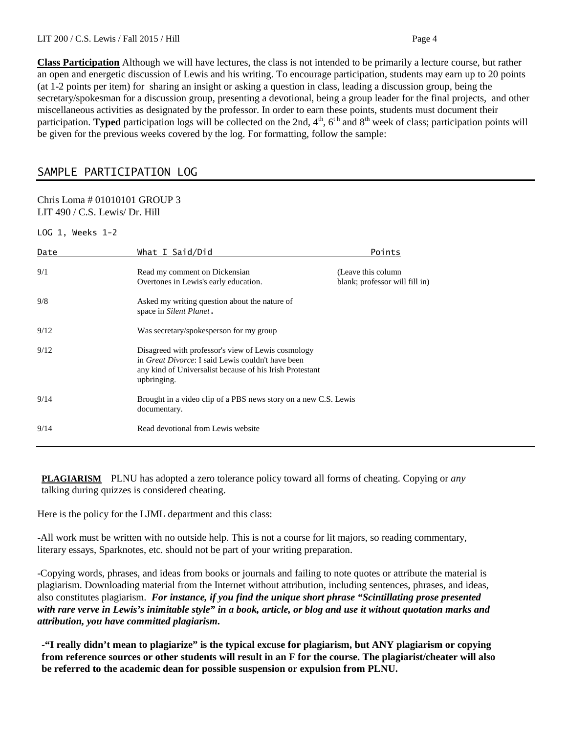**Class Participation** Although we will have lectures, the class is not intended to be primarily a lecture course, but rather an open and energetic discussion of Lewis and his writing. To encourage participation, students may earn up to 20 points (at 1-2 points per item) for sharing an insight or asking a question in class, leading a discussion group, being the secretary/spokesman for a discussion group, presenting a devotional, being a group leader for the final projects, and other miscellaneous activities as designated by the professor. In order to earn these points, students must document their participation. **Typed** participation logs will be collected on the 2nd, 4<sup>th</sup>, 6<sup>th</sup> and 8<sup>th</sup> week of class; participation points will be given for the previous weeks covered by the log. For formatting, follow the sample:

# SAMPLE PARTICIPATION LOG

#### Chris Loma # 01010101 GROUP 3 LIT 490 / C.S. Lewis/ Dr. Hill

LOG 1, Weeks 1-2

| Date | What I Said/Did                                                                                                                                                                            | Points                                                |
|------|--------------------------------------------------------------------------------------------------------------------------------------------------------------------------------------------|-------------------------------------------------------|
| 9/1  | Read my comment on Dickensian<br>Overtones in Lewis's early education.                                                                                                                     | (Leave this column)<br>blank; professor will fill in) |
| 9/8  | Asked my writing question about the nature of<br>space in Silent Planet.                                                                                                                   |                                                       |
| 9/12 | Was secretary/spokesperson for my group                                                                                                                                                    |                                                       |
| 9/12 | Disagreed with professor's view of Lewis cosmology<br>in <i>Great Divorce</i> : I said Lewis couldn't have been<br>any kind of Universalist because of his Irish Protestant<br>upbringing. |                                                       |
| 9/14 | Brought in a video clip of a PBS news story on a new C.S. Lewis<br>documentary.                                                                                                            |                                                       |
| 9/14 | Read devotional from Lewis website                                                                                                                                                         |                                                       |

**PLAGIARISM** PLNU has adopted a zero tolerance policy toward all forms of cheating. Copying or *any* talking during quizzes is considered cheating.

Here is the policy for the LJML department and this class:

-All work must be written with no outside help. This is not a course for lit majors, so reading commentary, literary essays, Sparknotes, etc. should not be part of your writing preparation.

-Copying words, phrases, and ideas from books or journals and failing to note quotes or attribute the material is plagiarism. Downloading material from the Internet without attribution, including sentences, phrases, and ideas, also constitutes plagiarism. *For instance, if you find the unique short phrase "Scintillating prose presented with rare verve in Lewis's inimitable style" in a book, article, or blog and use it without quotation marks and attribution, you have committed plagiarism.*

**-"I really didn't mean to plagiarize" is the typical excuse for plagiarism, but ANY plagiarism or copying from reference sources or other students will result in an F for the course. The plagiarist/cheater will also be referred to the academic dean for possible suspension or expulsion from PLNU.**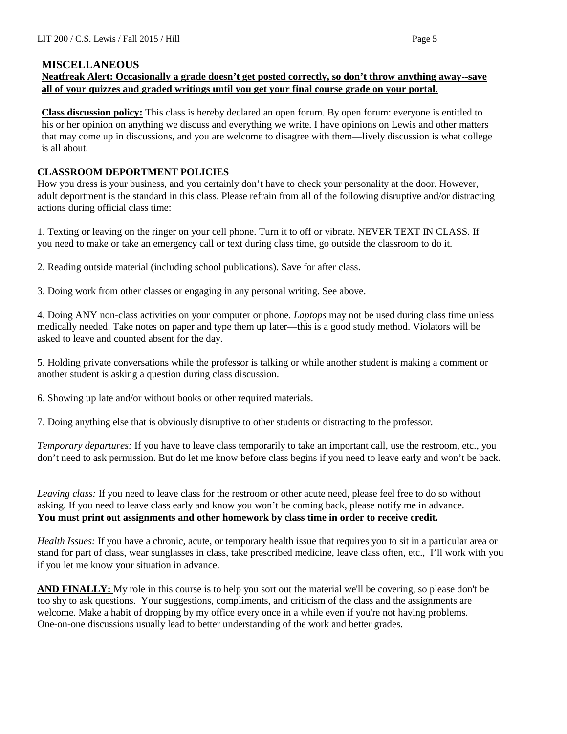#### **MISCELLANEOUS**

## **Neatfreak Alert: Occasionally a grade doesn't get posted correctly, so don't throw anything away--save all of your quizzes and graded writings until you get your final course grade on your portal.**

**Class discussion policy:** This class is hereby declared an open forum. By open forum: everyone is entitled to his or her opinion on anything we discuss and everything we write. I have opinions on Lewis and other matters that may come up in discussions, and you are welcome to disagree with them—lively discussion is what college is all about.

#### **CLASSROOM DEPORTMENT POLICIES**

How you dress is your business, and you certainly don't have to check your personality at the door. However, adult deportment is the standard in this class. Please refrain from all of the following disruptive and/or distracting actions during official class time:

1. Texting or leaving on the ringer on your cell phone. Turn it to off or vibrate. NEVER TEXT IN CLASS. If you need to make or take an emergency call or text during class time, go outside the classroom to do it.

2. Reading outside material (including school publications). Save for after class.

3. Doing work from other classes or engaging in any personal writing. See above.

4. Doing ANY non-class activities on your computer or phone. *Laptops* may not be used during class time unless medically needed. Take notes on paper and type them up later—this is a good study method. Violators will be asked to leave and counted absent for the day.

5. Holding private conversations while the professor is talking or while another student is making a comment or another student is asking a question during class discussion.

6. Showing up late and/or without books or other required materials.

7. Doing anything else that is obviously disruptive to other students or distracting to the professor.

*Temporary departures:* If you have to leave class temporarily to take an important call, use the restroom, etc., you don't need to ask permission. But do let me know before class begins if you need to leave early and won't be back.

*Leaving class:* If you need to leave class for the restroom or other acute need, please feel free to do so without asking. If you need to leave class early and know you won't be coming back, please notify me in advance. **You must print out assignments and other homework by class time in order to receive credit.**

*Health Issues:* If you have a chronic, acute, or temporary health issue that requires you to sit in a particular area or stand for part of class, wear sunglasses in class, take prescribed medicine, leave class often, etc., I'll work with you if you let me know your situation in advance.

**AND FINALLY:** My role in this course is to help you sort out the material we'll be covering, so please don't be too shy to ask questions. Your suggestions, compliments, and criticism of the class and the assignments are welcome. Make a habit of dropping by my office every once in a while even if you're not having problems. One-on-one discussions usually lead to better understanding of the work and better grades.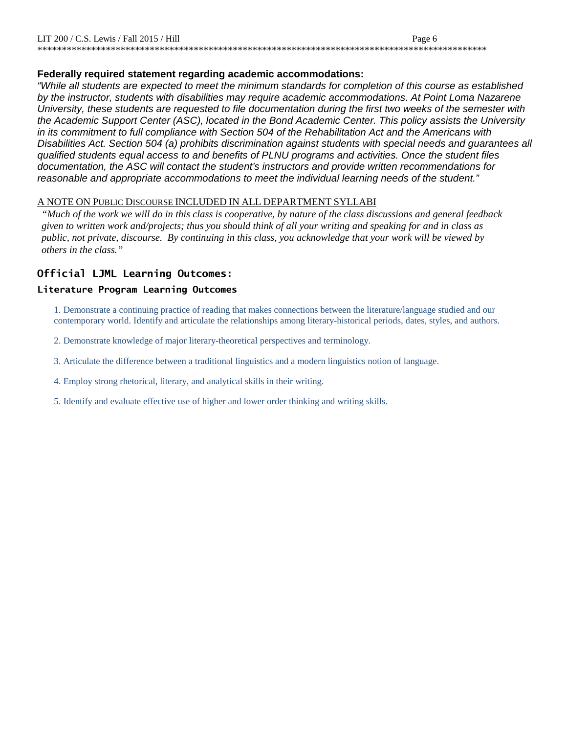## **Federally required statement regarding academic accommodations:**

*"While all students are expected to meet the minimum standards for completion of this course as established by the instructor, students with disabilities may require academic accommodations. At Point Loma Nazarene University, these students are requested to file documentation during the first two weeks of the semester with the Academic Support Center (ASC), located in the Bond Academic Center. This policy assists the University in its commitment to full compliance with Section 504 of the Rehabilitation Act and the Americans with Disabilities Act. Section 504 (a) prohibits discrimination against students with special needs and guarantees all qualified students equal access to and benefits of PLNU programs and activities. Once the student files documentation, the ASC will contact the student's instructors and provide written recommendations for reasonable and appropriate accommodations to meet the individual learning needs of the student."*

## A NOTE ON PUBLIC DISCOURSE INCLUDED IN ALL DEPARTMENT SYLLABI

*"Much of the work we will do in this class is cooperative, by nature of the class discussions and general feedback given to written work and/projects; thus you should think of all your writing and speaking for and in class as public, not private, discourse. By continuing in this class, you acknowledge that your work will be viewed by others in the class."*

# **Official LJML Learning Outcomes:**

## **Literature Program Learning Outcomes**

1. Demonstrate a continuing practice of reading that makes connections between the literature/language studied and our contemporary world. Identify and articulate the relationships among literary-historical periods, dates, styles, and authors.

- 2. Demonstrate knowledge of major literary-theoretical perspectives and terminology.
- 3. Articulate the difference between a traditional linguistics and a modern linguistics notion of language.
- 4. Employ strong rhetorical, literary, and analytical skills in their writing.
- 5. Identify and evaluate effective use of higher and lower order thinking and writing skills.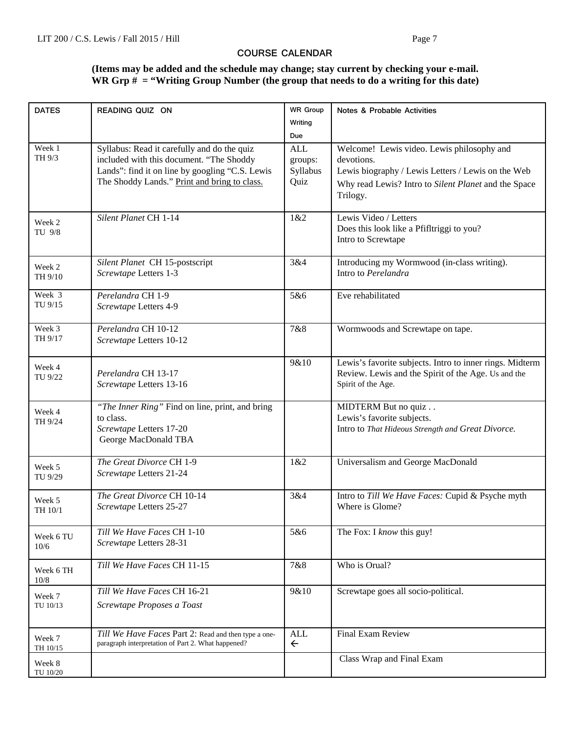## **COURSE CALENDAR**

# **(Items may be added and the schedule may change; stay current by checking your e-mail. WR Grp # = "Writing Group Number (the group that needs to do a writing for this date)**

| <b>DATES</b>       | READING QUIZ ON                                                                                                                                                                            | <b>WR Group</b>                           | Notes & Probable Activities                                                                                                                                                        |
|--------------------|--------------------------------------------------------------------------------------------------------------------------------------------------------------------------------------------|-------------------------------------------|------------------------------------------------------------------------------------------------------------------------------------------------------------------------------------|
|                    |                                                                                                                                                                                            | Writing                                   |                                                                                                                                                                                    |
|                    |                                                                                                                                                                                            | Due                                       |                                                                                                                                                                                    |
| Week 1<br>TH 9/3   | Syllabus: Read it carefully and do the quiz<br>included with this document. "The Shoddy<br>Lands": find it on line by googling "C.S. Lewis<br>The Shoddy Lands." Print and bring to class. | <b>ALL</b><br>groups:<br>Syllabus<br>Quiz | Welcome! Lewis video. Lewis philosophy and<br>devotions.<br>Lewis biography / Lewis Letters / Lewis on the Web<br>Why read Lewis? Intro to Silent Planet and the Space<br>Trilogy. |
| Week 2<br>TU 9/8   | Silent Planet CH 1-14                                                                                                                                                                      | 1&2                                       | Lewis Video / Letters<br>Does this look like a Pfifltriggi to you?<br>Intro to Screwtape                                                                                           |
| Week 2<br>TH 9/10  | Silent Planet CH 15-postscript<br>Screwtape Letters 1-3                                                                                                                                    | 3&4                                       | Introducing my Wormwood (in-class writing).<br>Intro to Perelandra                                                                                                                 |
| Week 3<br>TU 9/15  | Perelandra CH 1-9<br>Screwtape Letters 4-9                                                                                                                                                 | 5&6                                       | Eve rehabilitated                                                                                                                                                                  |
| Week 3<br>TH 9/17  | Perelandra CH 10-12<br>Screwtape Letters 10-12                                                                                                                                             | 7&8                                       | Wormwoods and Screwtape on tape.                                                                                                                                                   |
| Week 4<br>TU 9/22  | Perelandra CH 13-17<br>Screwtape Letters 13-16                                                                                                                                             | 9&10                                      | Lewis's favorite subjects. Intro to inner rings. Midterm<br>Review. Lewis and the Spirit of the Age. Us and the<br>Spirit of the Age.                                              |
| Week 4<br>TH 9/24  | "The Inner Ring" Find on line, print, and bring<br>to class.<br>Screwtape Letters 17-20<br>George MacDonald TBA                                                                            |                                           | MIDTERM But no quiz<br>Lewis's favorite subjects.<br>Intro to That Hideous Strength and Great Divorce.                                                                             |
| Week 5<br>TU 9/29  | The Great Divorce CH 1-9<br>Screwtape Letters 21-24                                                                                                                                        | 1&2                                       | Universalism and George MacDonald                                                                                                                                                  |
| Week 5<br>TH 10/1  | The Great Divorce CH 10-14<br>Screwtape Letters 25-27                                                                                                                                      | 3&4                                       | Intro to Till We Have Faces: Cupid & Psyche myth<br>Where is Glome?                                                                                                                |
| Week 6 TU<br>10/6  | Till We Have Faces CH 1-10<br>Screwtape Letters 28-31                                                                                                                                      | 5&6                                       | The Fox: I know this guy!                                                                                                                                                          |
| Week 6 TH<br>10/8  | Till We Have Faces CH 11-15                                                                                                                                                                | 7&8                                       | Who is Orual?                                                                                                                                                                      |
| Week 7<br>TU 10/13 | Till We Have Faces CH 16-21<br>Screwtape Proposes a Toast                                                                                                                                  | 9&10                                      | Screwtape goes all socio-political.                                                                                                                                                |
| Week 7<br>TH 10/15 | Till We Have Faces Part 2: Read and then type a one-<br>paragraph interpretation of Part 2. What happened?                                                                                 | <b>ALL</b><br>$\leftarrow$                | <b>Final Exam Review</b>                                                                                                                                                           |
| Week 8<br>TU 10/20 |                                                                                                                                                                                            |                                           | Class Wrap and Final Exam                                                                                                                                                          |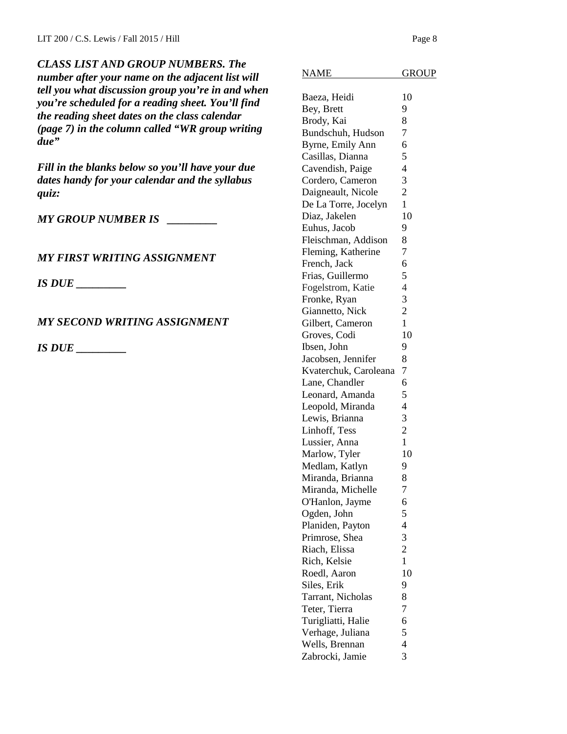*CLASS LIST AND GROUP NUMBERS. The number after your name on the adjacent list will tell you what discussion group you're in and when you're scheduled for a reading sheet. You'll find the reading sheet dates on the class calendar (page 7) in the column called "WR group writing due"*

*Fill in the blanks below so you'll have your due dates handy for your calendar and the syllabus quiz:* 

*MY GROUP NUMBER IS \_\_\_\_\_\_\_\_\_*

## *MY FIRST WRITING ASSIGNMENT*

*IS DUE \_\_\_\_\_\_\_\_\_*

# *MY SECOND WRITING ASSIGNMENT*

*IS DUE \_\_\_\_\_\_\_\_\_*

| <b>NAME</b>           | <b>GROUP</b>   |
|-----------------------|----------------|
|                       |                |
| Baeza, Heidi          | 10             |
| Bey, Brett            | 9              |
| Brody, Kai            | 8              |
| Bundschuh, Hudson     | $\overline{7}$ |
| Byrne, Emily Ann      | 6              |
| Casillas, Dianna      | 5              |
| Cavendish, Paige      | $\overline{4}$ |
| Cordero, Cameron      | 3              |
| Daigneault, Nicole    | $\overline{c}$ |
| De La Torre, Jocelyn  | $\mathbf{1}$   |
| Diaz, Jakelen         | 10             |
| Euhus, Jacob          | 9              |
| Fleischman, Addison   | 8              |
| Fleming, Katherine    | 7              |
| French, Jack          | 6              |
| Frias, Guillermo      | 5              |
| Fogelstrom, Katie     | $\overline{4}$ |
| Fronke, Ryan          | 3              |
| Giannetto, Nick       | $\overline{2}$ |
| Gilbert, Cameron      | $\mathbf{1}$   |
| Groves, Codi          | 10             |
| Ibsen, John           | 9              |
| Jacobsen, Jennifer    | 8              |
| Kvaterchuk, Caroleana | 7              |
| Lane, Chandler        | 6              |
| Leonard, Amanda       | 5              |
| Leopold, Miranda      | $\overline{4}$ |
| Lewis, Brianna        | 3              |
| Linhoff, Tess         | $\overline{c}$ |
| Lussier, Anna         | $\mathbf{1}$   |
| Marlow, Tyler         | 10             |
| Medlam, Katlyn        | 9              |
| Miranda, Brianna      | 8              |
| Miranda, Michelle     | 7              |
| O'Hanlon, Jayme       | 6              |
| Ogden, John           | 5              |
| Planiden, Payton      | $\overline{4}$ |
| Primrose, Shea        | 3              |
| Riach, Elissa         | $\overline{c}$ |
| Rich, Kelsie          | $\mathbf{1}$   |
| Roedl, Aaron          | 10             |
| Siles, Erik           | 9              |
| Tarrant, Nicholas     | 8              |
| Teter, Tierra         | 7              |
| Turigliatti, Halie    | 6              |
| Verhage, Juliana      | 5              |
| Wells, Brennan        | $\overline{4}$ |
| Zabrocki, Jamie       | 3              |
|                       |                |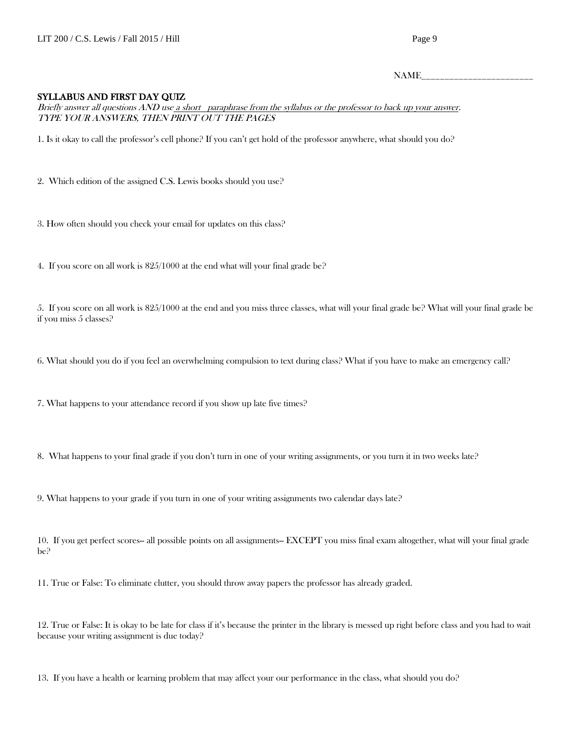NAME\_\_\_\_\_\_\_\_\_\_\_\_\_\_\_\_\_\_\_\_\_\_\_\_

#### SYLLABUS AND FIRST DAY QUIZ

Briefly answer all questions AND use a short paraphrase from the syllabus or the professor to back up your answer. TYPE YOUR ANSWERS, THEN PRINT OUT THE PAGES

1. Is it okay to call the professor's cell phone? If you can't get hold of the professor anywhere, what should you do?

- 2. Which edition of the assigned C.S. Lewis books should you use?
- 3. How often should you check your email for updates on this class?
- 4. If you score on all work is 825/1000 at the end what will your final grade be?

5. If you score on all work is 825/1000 at the end and you miss three classes, what will your final grade be? What will your final grade be if you miss 5 classes?

6. What should you do if you feel an overwhelming compulsion to text during class? What if you have to make an emergency call?

7. What happens to your attendance record if you show up late five times?

8. What happens to your final grade if you don't turn in one of your writing assignments, or you turn it in two weeks late?

9. What happens to your grade if you turn in one of your writing assignments two calendar days late?

10. If you get perfect scores-- all possible points on all assignments-- EXCEPT you miss final exam altogether, what will your final grade be?

11. True or False: To eliminate clutter, you should throw away papers the professor has already graded.

12. True or False: It is okay to be late for class if it's because the printer in the library is messed up right before class and you had to wait because your writing assignment is due today?

13. If you have a health or learning problem that may affect your our performance in the class, what should you do?